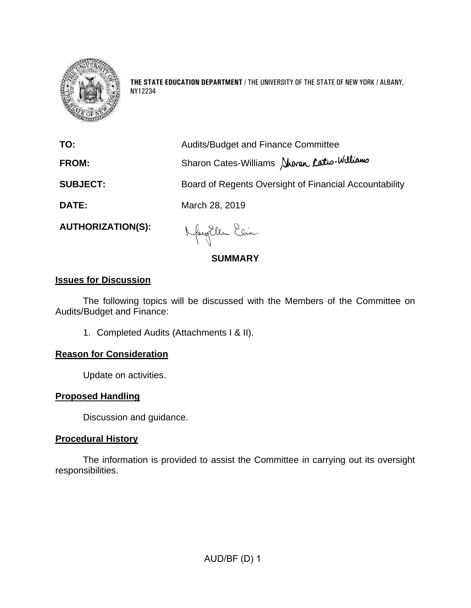

**THE STATE EDUCATION DEPARTMENT** / THE UNIVERSITY OF THE STATE OF NEW YORK / ALBANY, NY12234

| TO:                      | <b>Audits/Budget and Finance Committee</b>             |
|--------------------------|--------------------------------------------------------|
| <b>FROM:</b>             | Sharon Cates-Williams Sharon Catro-Williams            |
| <b>SUBJECT:</b>          | Board of Regents Oversight of Financial Accountability |
| DATE:                    | March 28, 2019                                         |
| <b>AUTHORIZATION(S):</b> | $\lambda$ 6. $200$ , $201$                             |

# **SUMMARY**

# **Issues for Discussion**

The following topics will be discussed with the Members of the Committee on Audits/Budget and Finance:

1. Completed Audits (Attachments I & II).

# **Reason for Consideration**

Update on activities.

# **Proposed Handling**

Discussion and guidance.

# **Procedural History**

The information is provided to assist the Committee in carrying out its oversight responsibilities.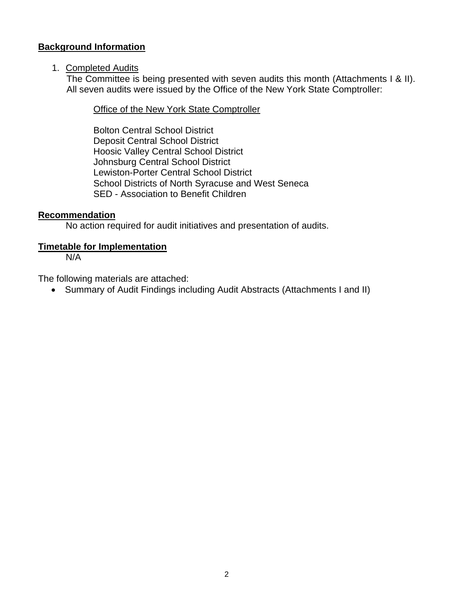# **Background Information**

## 1. Completed Audits

The Committee is being presented with seven audits this month (Attachments I & II). All seven audits were issued by the Office of the New York State Comptroller:

Office of the New York State Comptroller

Bolton Central School District Deposit Central School District Hoosic Valley Central School District Johnsburg Central School District Lewiston-Porter Central School District School Districts of North Syracuse and West Seneca SED - Association to Benefit Children

## **Recommendation**

No action required for audit initiatives and presentation of audits.

## **Timetable for Implementation**

N/A

The following materials are attached:

• Summary of Audit Findings including Audit Abstracts (Attachments I and II)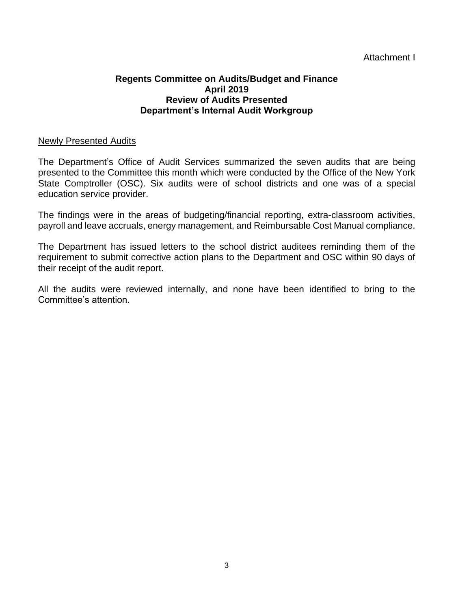## Attachment I

#### **Regents Committee on Audits/Budget and Finance April 2019 Review of Audits Presented Department's Internal Audit Workgroup**

#### Newly Presented Audits

The Department's Office of Audit Services summarized the seven audits that are being presented to the Committee this month which were conducted by the Office of the New York State Comptroller (OSC). Six audits were of school districts and one was of a special education service provider.

The findings were in the areas of budgeting/financial reporting, extra-classroom activities, payroll and leave accruals, energy management, and Reimbursable Cost Manual compliance.

The Department has issued letters to the school district auditees reminding them of the requirement to submit corrective action plans to the Department and OSC within 90 days of their receipt of the audit report.

All the audits were reviewed internally, and none have been identified to bring to the Committee's attention.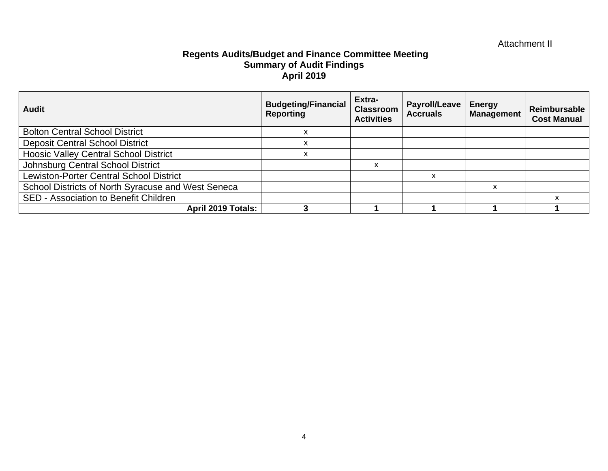# Attachment II

### **Regents Audits/Budget and Finance Committee Meeting Summary of Audit Findings April 2019**

| <b>Audit</b>                                       | <b>Budgeting/Financial</b><br><b>Reporting</b> | Extra-<br><b>Classroom</b><br><b>Activities</b> | <b>Payroll/Leave</b><br><b>Accruals</b> | <b>Energy</b><br><b>Management</b> | Reimbursable<br><b>Cost Manual</b> |
|----------------------------------------------------|------------------------------------------------|-------------------------------------------------|-----------------------------------------|------------------------------------|------------------------------------|
| <b>Bolton Central School District</b>              |                                                |                                                 |                                         |                                    |                                    |
| <b>Deposit Central School District</b>             | ́                                              |                                                 |                                         |                                    |                                    |
| <b>Hoosic Valley Central School District</b>       |                                                |                                                 |                                         |                                    |                                    |
| Johnsburg Central School District                  |                                                | ⋏                                               |                                         |                                    |                                    |
| <b>Lewiston-Porter Central School District</b>     |                                                |                                                 | x                                       |                                    |                                    |
| School Districts of North Syracuse and West Seneca |                                                |                                                 |                                         | X                                  |                                    |
| SED - Association to Benefit Children              |                                                |                                                 |                                         |                                    |                                    |
| April 2019 Totals:                                 |                                                |                                                 |                                         |                                    |                                    |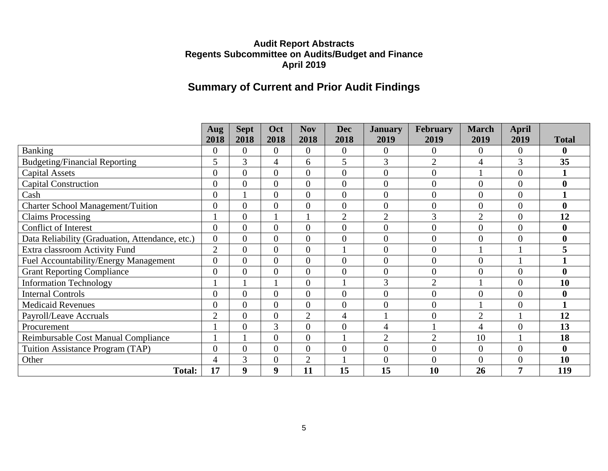# **Summary of Current and Prior Audit Findings**

|                                                 | Aug            | <b>Sept</b>    | Oct            | <b>Nov</b>     | <b>Dec</b>     | <b>January</b>   | <b>February</b>  | <b>March</b>   | <b>April</b>     |                  |
|-------------------------------------------------|----------------|----------------|----------------|----------------|----------------|------------------|------------------|----------------|------------------|------------------|
|                                                 | 2018           | 2018           | 2018           | 2018           | 2018           | 2019             | 2019             | 2019           | 2019             | <b>Total</b>     |
| Banking                                         | $\overline{0}$ | $\theta$       | $\Omega$       | $\Omega$       | $\overline{0}$ | $\boldsymbol{0}$ | $\boldsymbol{0}$ | $\overline{0}$ | $\boldsymbol{0}$ | $\boldsymbol{0}$ |
| <b>Budgeting/Financial Reporting</b>            | 5              | 3              | 4              | 6              | 5              | 3                | $\overline{2}$   | 4              | 3                | 35               |
| <b>Capital Assets</b>                           | $\theta$       | $\theta$       | $\Omega$       | $\theta$       | $\overline{0}$ | $\overline{0}$   | $\overline{0}$   |                | $\overline{0}$   |                  |
| <b>Capital Construction</b>                     | $\overline{0}$ | $\overline{0}$ | $\overline{0}$ | $\overline{0}$ | $\mathbf{0}$   | $\overline{0}$   | $\overline{0}$   | $\overline{0}$ | $\overline{0}$   | $\bf{0}$         |
| Cash                                            | $\theta$       |                | $\theta$       | $\theta$       | $\overline{0}$ | $\overline{0}$   | $\boldsymbol{0}$ | $\overline{0}$ | $\overline{0}$   |                  |
| <b>Charter School Management/Tuition</b>        | $\overline{0}$ | $\overline{0}$ | $\theta$       | $\overline{0}$ | $\overline{0}$ | $\overline{0}$   | $\boldsymbol{0}$ | $\overline{0}$ | $\overline{0}$   | $\boldsymbol{0}$ |
| <b>Claims Processing</b>                        |                | $\overline{0}$ |                |                | $\overline{2}$ | $\overline{2}$   | 3                | $\overline{2}$ | $\overline{0}$   | 12               |
| <b>Conflict of Interest</b>                     | $\overline{0}$ | $\overline{0}$ | $\theta$       | $\overline{0}$ | $\overline{0}$ | $\overline{0}$   | $\overline{0}$   | $\overline{0}$ | $\overline{0}$   | $\bf{0}$         |
| Data Reliability (Graduation, Attendance, etc.) | $\overline{0}$ | $\overline{0}$ | $\theta$       | $\overline{0}$ | $\overline{0}$ | $\overline{0}$   | $\boldsymbol{0}$ | $\overline{0}$ | $\overline{0}$   | $\boldsymbol{0}$ |
| Extra classroom Activity Fund                   | $\overline{2}$ | $\overline{0}$ | $\Omega$       | $\overline{0}$ |                | $\overline{0}$   | $\overline{0}$   |                |                  |                  |
| Fuel Accountability/Energy Management           | $\overline{0}$ | $\overline{0}$ | $\theta$       | $\overline{0}$ | $\overline{0}$ | $\overline{0}$   | $\overline{0}$   | $\overline{0}$ |                  |                  |
| <b>Grant Reporting Compliance</b>               | $\overline{0}$ | $\theta$       | $\Omega$       | $\theta$       | $\overline{0}$ | $\overline{0}$   | $\overline{0}$   | $\overline{0}$ | $\overline{0}$   | $\boldsymbol{0}$ |
| <b>Information Technology</b>                   |                |                |                | $\overline{0}$ |                | 3                | $\overline{2}$   |                | $\overline{0}$   | 10               |
| <b>Internal Controls</b>                        | $\overline{0}$ | $\theta$       | $\theta$       | $\theta$       | $\overline{0}$ | $\overline{0}$   | $\boldsymbol{0}$ | $\overline{0}$ | $\overline{0}$   | $\boldsymbol{0}$ |
| <b>Medicaid Revenues</b>                        | $\overline{0}$ | $\overline{0}$ | $\theta$       | $\overline{0}$ | $\mathbf{0}$   | $\overline{0}$   | $\boldsymbol{0}$ |                | $\overline{0}$   |                  |
| Payroll/Leave Accruals                          | $\overline{2}$ | $\theta$       | $\Omega$       | $\overline{2}$ | $\overline{4}$ |                  | $\overline{0}$   | $\overline{2}$ |                  | 12               |
| Procurement                                     |                | $\overline{0}$ | 3              | $\overline{0}$ | $\overline{0}$ | $\overline{4}$   |                  | 4              | $\overline{0}$   | 13               |
| Reimbursable Cost Manual Compliance             |                |                | $\theta$       | $\overline{0}$ |                | $\overline{2}$   | $\overline{2}$   | 10             |                  | 18               |
| Tuition Assistance Program (TAP)                | $\theta$       | $\overline{0}$ | $\Omega$       | $\theta$       | $\overline{0}$ | $\overline{0}$   | $\overline{0}$   | $\overline{0}$ | $\overline{0}$   | $\boldsymbol{0}$ |
| Other                                           | 4              | 3              | 0              | $\overline{2}$ |                | $\overline{0}$   | $\overline{0}$   | $\overline{0}$ | $\boldsymbol{0}$ | 10               |
| <b>Total:</b>                                   | 17             | 9              | 9              | 11             | 15             | 15               | 10               | 26             | 7                | 119              |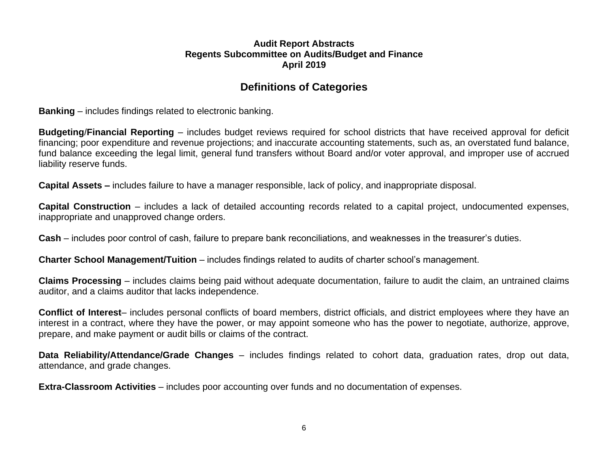# **Definitions of Categories**

**Banking** – includes findings related to electronic banking.

**Budgeting**/**Financial Reporting** – includes budget reviews required for school districts that have received approval for deficit financing; poor expenditure and revenue projections; and inaccurate accounting statements, such as, an overstated fund balance, fund balance exceeding the legal limit, general fund transfers without Board and/or voter approval, and improper use of accrued liability reserve funds.

**Capital Assets –** includes failure to have a manager responsible, lack of policy, and inappropriate disposal.

**Capital Construction** – includes a lack of detailed accounting records related to a capital project, undocumented expenses, inappropriate and unapproved change orders.

**Cash** – includes poor control of cash, failure to prepare bank reconciliations, and weaknesses in the treasurer's duties.

**Charter School Management/Tuition** – includes findings related to audits of charter school's management.

**Claims Processing** – includes claims being paid without adequate documentation, failure to audit the claim, an untrained claims auditor, and a claims auditor that lacks independence.

**Conflict of Interest**– includes personal conflicts of board members, district officials, and district employees where they have an interest in a contract, where they have the power, or may appoint someone who has the power to negotiate, authorize, approve, prepare, and make payment or audit bills or claims of the contract.

**Data Reliability/Attendance/Grade Changes** – includes findings related to cohort data, graduation rates, drop out data, attendance, and grade changes.

**Extra-Classroom Activities** – includes poor accounting over funds and no documentation of expenses.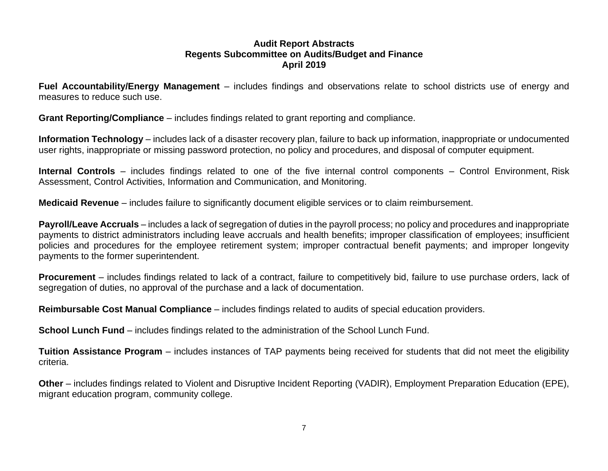**Fuel Accountability/Energy Management** – includes findings and observations relate to school districts use of energy and measures to reduce such use.

**Grant Reporting/Compliance** – includes findings related to grant reporting and compliance.

**Information Technology** – includes lack of a disaster recovery plan, failure to back up information, inappropriate or undocumented user rights, inappropriate or missing password protection, no policy and procedures, and disposal of computer equipment.

**Internal Controls** – includes findings related to one of the five internal control components – Control Environment, Risk Assessment, Control Activities, Information and Communication, and Monitoring.

**Medicaid Revenue** – includes failure to significantly document eligible services or to claim reimbursement.

**Payroll/Leave Accruals** – includes a lack of segregation of duties in the payroll process; no policy and procedures and inappropriate payments to district administrators including leave accruals and health benefits; improper classification of employees; insufficient policies and procedures for the employee retirement system; improper contractual benefit payments; and improper longevity payments to the former superintendent.

**Procurement** – includes findings related to lack of a contract, failure to competitively bid, failure to use purchase orders, lack of segregation of duties, no approval of the purchase and a lack of documentation.

**Reimbursable Cost Manual Compliance** – includes findings related to audits of special education providers.

**School Lunch Fund** – includes findings related to the administration of the School Lunch Fund.

**Tuition Assistance Program** – includes instances of TAP payments being received for students that did not meet the eligibility criteria.

**Other** – includes findings related to Violent and Disruptive Incident Reporting (VADIR), Employment Preparation Education (EPE), migrant education program, community college.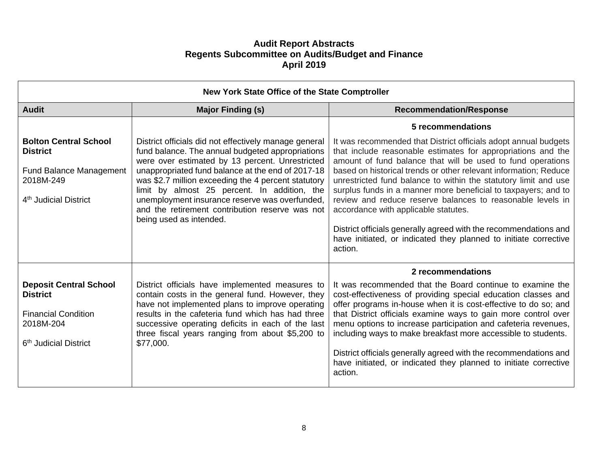| New York State Office of the State Comptroller                                                                                      |                                                                                                                                                                                                                                                                                                                                                                                                                                                          |                                                                                                                                                                                                                                                                                                                                                                                                                                                                                                                                                                                                                                                                  |  |  |  |
|-------------------------------------------------------------------------------------------------------------------------------------|----------------------------------------------------------------------------------------------------------------------------------------------------------------------------------------------------------------------------------------------------------------------------------------------------------------------------------------------------------------------------------------------------------------------------------------------------------|------------------------------------------------------------------------------------------------------------------------------------------------------------------------------------------------------------------------------------------------------------------------------------------------------------------------------------------------------------------------------------------------------------------------------------------------------------------------------------------------------------------------------------------------------------------------------------------------------------------------------------------------------------------|--|--|--|
| <b>Audit</b>                                                                                                                        | <b>Major Finding (s)</b>                                                                                                                                                                                                                                                                                                                                                                                                                                 | <b>Recommendation/Response</b>                                                                                                                                                                                                                                                                                                                                                                                                                                                                                                                                                                                                                                   |  |  |  |
|                                                                                                                                     |                                                                                                                                                                                                                                                                                                                                                                                                                                                          | 5 recommendations                                                                                                                                                                                                                                                                                                                                                                                                                                                                                                                                                                                                                                                |  |  |  |
| <b>Bolton Central School</b><br><b>District</b><br><b>Fund Balance Management</b><br>2018M-249<br>4 <sup>th</sup> Judicial District | District officials did not effectively manage general<br>fund balance. The annual budgeted appropriations<br>were over estimated by 13 percent. Unrestricted<br>unappropriated fund balance at the end of 2017-18<br>was \$2.7 million exceeding the 4 percent statutory<br>limit by almost 25 percent. In addition, the<br>unemployment insurance reserve was overfunded,<br>and the retirement contribution reserve was not<br>being used as intended. | It was recommended that District officials adopt annual budgets<br>that include reasonable estimates for appropriations and the<br>amount of fund balance that will be used to fund operations<br>based on historical trends or other relevant information; Reduce<br>unrestricted fund balance to within the statutory limit and use<br>surplus funds in a manner more beneficial to taxpayers; and to<br>review and reduce reserve balances to reasonable levels in<br>accordance with applicable statutes.<br>District officials generally agreed with the recommendations and<br>have initiated, or indicated they planned to initiate corrective<br>action. |  |  |  |
|                                                                                                                                     |                                                                                                                                                                                                                                                                                                                                                                                                                                                          | 2 recommendations                                                                                                                                                                                                                                                                                                                                                                                                                                                                                                                                                                                                                                                |  |  |  |
| <b>Deposit Central School</b><br><b>District</b><br><b>Financial Condition</b><br>2018M-204<br>6 <sup>th</sup> Judicial District    | District officials have implemented measures to<br>contain costs in the general fund. However, they<br>have not implemented plans to improve operating<br>results in the cafeteria fund which has had three<br>successive operating deficits in each of the last<br>three fiscal years ranging from about \$5,200 to<br>\$77,000.                                                                                                                        | It was recommended that the Board continue to examine the<br>cost-effectiveness of providing special education classes and<br>offer programs in-house when it is cost-effective to do so; and<br>that District officials examine ways to gain more control over<br>menu options to increase participation and cafeteria revenues,<br>including ways to make breakfast more accessible to students.<br>District officials generally agreed with the recommendations and<br>have initiated, or indicated they planned to initiate corrective<br>action.                                                                                                            |  |  |  |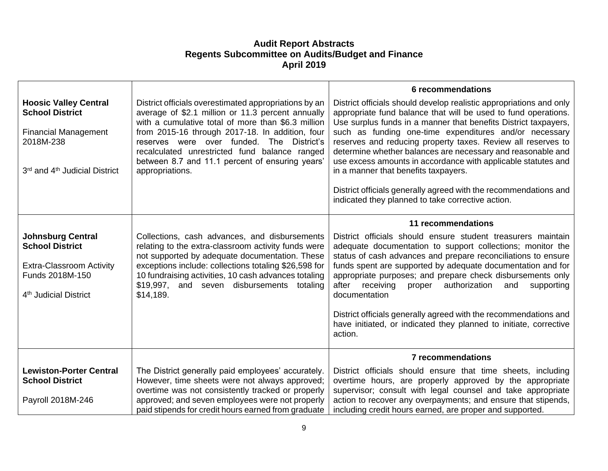|                                                                                                                                               |                                                                                                                                                                                                                                                                                                                                    | 6 recommendations                                                                                                                                                                                                                                                                                                                                                                                               |
|-----------------------------------------------------------------------------------------------------------------------------------------------|------------------------------------------------------------------------------------------------------------------------------------------------------------------------------------------------------------------------------------------------------------------------------------------------------------------------------------|-----------------------------------------------------------------------------------------------------------------------------------------------------------------------------------------------------------------------------------------------------------------------------------------------------------------------------------------------------------------------------------------------------------------|
| <b>Hoosic Valley Central</b><br><b>School District</b>                                                                                        | District officials overestimated appropriations by an<br>average of \$2.1 million or 11.3 percent annually<br>with a cumulative total of more than \$6.3 million                                                                                                                                                                   | District officials should develop realistic appropriations and only<br>appropriate fund balance that will be used to fund operations.<br>Use surplus funds in a manner that benefits District taxpayers,                                                                                                                                                                                                        |
| <b>Financial Management</b><br>2018M-238                                                                                                      | from 2015-16 through 2017-18. In addition, four<br>reserves were over funded. The District's<br>recalculated unrestricted fund balance ranged                                                                                                                                                                                      | such as funding one-time expenditures and/or necessary<br>reserves and reducing property taxes. Review all reserves to<br>determine whether balances are necessary and reasonable and                                                                                                                                                                                                                           |
| 3rd and 4 <sup>th</sup> Judicial District                                                                                                     | between 8.7 and 11.1 percent of ensuring years'<br>appropriations.                                                                                                                                                                                                                                                                 | use excess amounts in accordance with applicable statutes and<br>in a manner that benefits taxpayers.                                                                                                                                                                                                                                                                                                           |
|                                                                                                                                               |                                                                                                                                                                                                                                                                                                                                    | District officials generally agreed with the recommendations and<br>indicated they planned to take corrective action.                                                                                                                                                                                                                                                                                           |
|                                                                                                                                               |                                                                                                                                                                                                                                                                                                                                    | 11 recommendations                                                                                                                                                                                                                                                                                                                                                                                              |
| <b>Johnsburg Central</b><br><b>School District</b><br><b>Extra-Classroom Activity</b><br>Funds 2018M-150<br>4 <sup>th</sup> Judicial District | Collections, cash advances, and disbursements<br>relating to the extra-classroom activity funds were<br>not supported by adequate documentation. These<br>exceptions include: collections totaling \$26,598 for<br>10 fundraising activities, 10 cash advances totaling<br>\$19,997, and seven disbursements totaling<br>\$14,189. | District officials should ensure student treasurers maintain<br>adequate documentation to support collections; monitor the<br>status of cash advances and prepare reconciliations to ensure<br>funds spent are supported by adequate documentation and for<br>appropriate purposes; and prepare check disbursements only<br>after<br>receiving<br>authorization<br>proper<br>and<br>supporting<br>documentation |
|                                                                                                                                               |                                                                                                                                                                                                                                                                                                                                    | District officials generally agreed with the recommendations and<br>have initiated, or indicated they planned to initiate, corrective<br>action.                                                                                                                                                                                                                                                                |
|                                                                                                                                               |                                                                                                                                                                                                                                                                                                                                    | <b>7 recommendations</b>                                                                                                                                                                                                                                                                                                                                                                                        |
| <b>Lewiston-Porter Central</b><br><b>School District</b>                                                                                      | The District generally paid employees' accurately.<br>However, time sheets were not always approved;<br>overtime was not consistently tracked or properly                                                                                                                                                                          | District officials should ensure that time sheets, including<br>overtime hours, are properly approved by the appropriate<br>supervisor; consult with legal counsel and take appropriate                                                                                                                                                                                                                         |
| Payroll 2018M-246                                                                                                                             | approved; and seven employees were not properly<br>paid stipends for credit hours earned from graduate                                                                                                                                                                                                                             | action to recover any overpayments; and ensure that stipends,<br>including credit hours earned, are proper and supported.                                                                                                                                                                                                                                                                                       |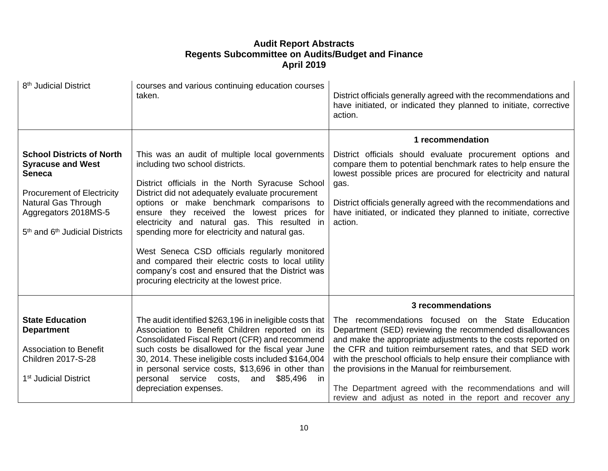| 8 <sup>th</sup> Judicial District                                                                                                                                                                                           | courses and various continuing education courses<br>taken.                                                                                                                                                                                                                                                                                                                                                                                                                                                                                                                                      | District officials generally agreed with the recommendations and<br>have initiated, or indicated they planned to initiate, corrective<br>action.                                                                                                                                                                                                          |
|-----------------------------------------------------------------------------------------------------------------------------------------------------------------------------------------------------------------------------|-------------------------------------------------------------------------------------------------------------------------------------------------------------------------------------------------------------------------------------------------------------------------------------------------------------------------------------------------------------------------------------------------------------------------------------------------------------------------------------------------------------------------------------------------------------------------------------------------|-----------------------------------------------------------------------------------------------------------------------------------------------------------------------------------------------------------------------------------------------------------------------------------------------------------------------------------------------------------|
|                                                                                                                                                                                                                             |                                                                                                                                                                                                                                                                                                                                                                                                                                                                                                                                                                                                 | 1 recommendation                                                                                                                                                                                                                                                                                                                                          |
| <b>School Districts of North</b><br><b>Syracuse and West</b><br><b>Seneca</b><br><b>Procurement of Electricity</b><br>Natural Gas Through<br>Aggregators 2018MS-5<br>5 <sup>th</sup> and 6 <sup>th</sup> Judicial Districts | This was an audit of multiple local governments<br>including two school districts.<br>District officials in the North Syracuse School<br>District did not adequately evaluate procurement<br>options or make benchmark comparisons to<br>ensure they received the lowest prices for<br>electricity and natural gas. This resulted in<br>spending more for electricity and natural gas.<br>West Seneca CSD officials regularly monitored<br>and compared their electric costs to local utility<br>company's cost and ensured that the District was<br>procuring electricity at the lowest price. | District officials should evaluate procurement options and<br>compare them to potential benchmark rates to help ensure the<br>lowest possible prices are procured for electricity and natural<br>gas.<br>District officials generally agreed with the recommendations and<br>have initiated, or indicated they planned to initiate, corrective<br>action. |
|                                                                                                                                                                                                                             |                                                                                                                                                                                                                                                                                                                                                                                                                                                                                                                                                                                                 | 3 recommendations                                                                                                                                                                                                                                                                                                                                         |
| <b>State Education</b><br><b>Department</b><br><b>Association to Benefit</b>                                                                                                                                                | The audit identified \$263,196 in ineligible costs that<br>Association to Benefit Children reported on its<br>Consolidated Fiscal Report (CFR) and recommend<br>such costs be disallowed for the fiscal year June                                                                                                                                                                                                                                                                                                                                                                               | The recommendations focused on the State Education<br>Department (SED) reviewing the recommended disallowances<br>and make the appropriate adjustments to the costs reported on<br>the CFR and tuition reimbursement rates, and that SED work                                                                                                             |
| <b>Children 2017-S-28</b><br>1 <sup>st</sup> Judicial District                                                                                                                                                              | 30, 2014. These ineligible costs included \$164,004<br>in personal service costs, \$13,696 in other than<br>personal service costs, and<br>\$85,496<br>in.                                                                                                                                                                                                                                                                                                                                                                                                                                      | with the preschool officials to help ensure their compliance with<br>the provisions in the Manual for reimbursement.                                                                                                                                                                                                                                      |
|                                                                                                                                                                                                                             | depreciation expenses.                                                                                                                                                                                                                                                                                                                                                                                                                                                                                                                                                                          | The Department agreed with the recommendations and will<br>review and adjust as noted in the report and recover any                                                                                                                                                                                                                                       |